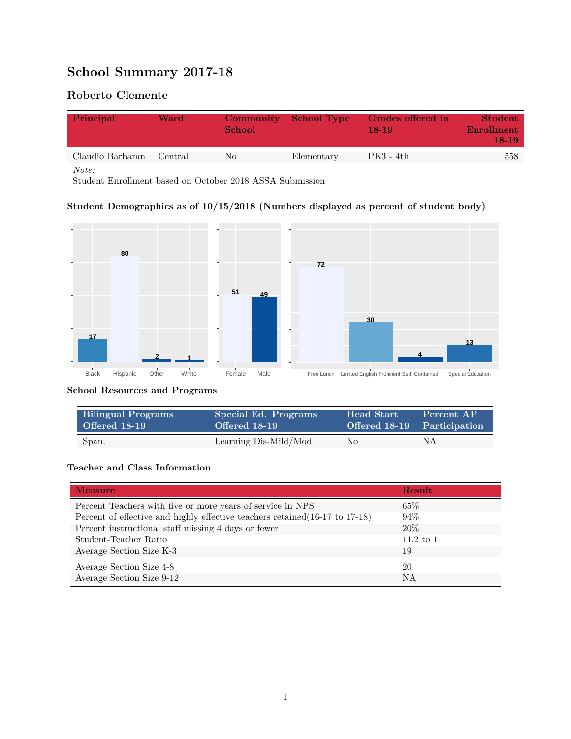# **School Summary 2017-18**

## **Roberto Clemente**

| Principal        | Ward    | <b>Community</b><br>School | School Type | Grades offered in<br>$18-19$ | <b>Student</b><br>Enrollment<br>18-19 |
|------------------|---------|----------------------------|-------------|------------------------------|---------------------------------------|
| Claudio Barbaran | Central | No                         | Elementary  | PK3 - 4th                    | 558                                   |

*Note:*

Student Enrollment based on October 2018 ASSA Submission

## **Student Demographics as of 10/15/2018 (Numbers displayed as percent of student body)**



#### **School Resources and Programs**

| <b>Bilingual Programs</b> | Special Ed. Programs  | Head Start                  | Percent AP |
|---------------------------|-----------------------|-----------------------------|------------|
| <b>Offered 18-19</b>      | Offered 18-19         | Offered 18-19 Participation |            |
| Span.                     | Learning Dis-Mild/Mod | No                          | ΝA         |

#### **Teacher and Class Information**

| <b>Measure</b>                                                               | <b>Result</b> |
|------------------------------------------------------------------------------|---------------|
| Percent Teachers with five or more years of service in NPS                   | $65\%$        |
| Percent of effective and highly effective teachers retained (16-17 to 17-18) | 94%           |
| Percent instructional staff missing 4 days or fewer                          | 20%           |
| Student-Teacher Ratio                                                        | $11.2$ to 1   |
| Average Section Size K-3                                                     | 19            |
| Average Section Size 4-8                                                     | 20            |
| Average Section Size 9-12                                                    | NA            |